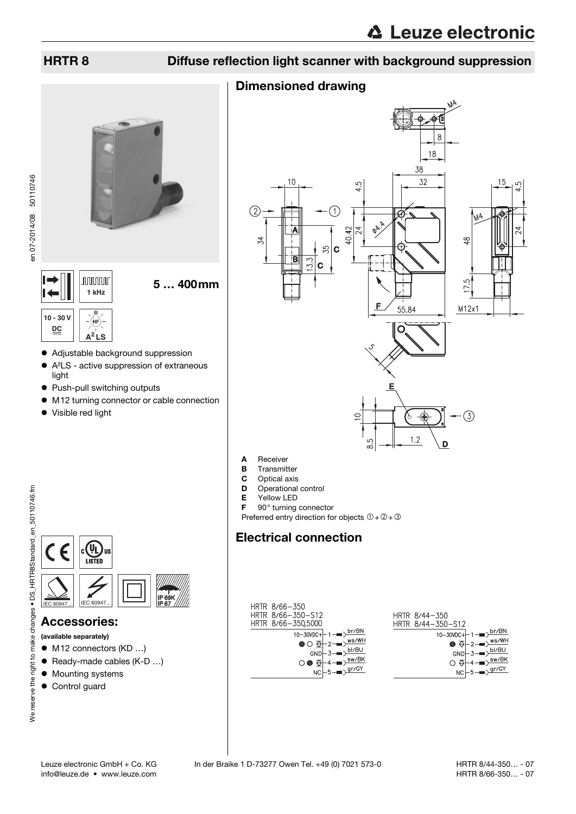### HRTR 8 Diffuse reflection light scanner with background suppression

#### Dimensioned drawing



- C Optical axis
- D Operational control
- E Yellow LED
- F 90° turning connector
- Preferred entry direction for objects  $0+2+3$

## Electrical connection





- Adjustable background suppression
- A²LS active suppression of extraneous light
- Push-pull switching outputs
- $\bullet$  M12 turning connector or cable connection

5 … 400mm

• Visible red light



<u>IP 67</u>

### Accessories:

- (available separately)
- M12 connectors (KD ...)
- Ready-made cables (K-D ...)
- $\bullet$  Mounting systems
- Control guard